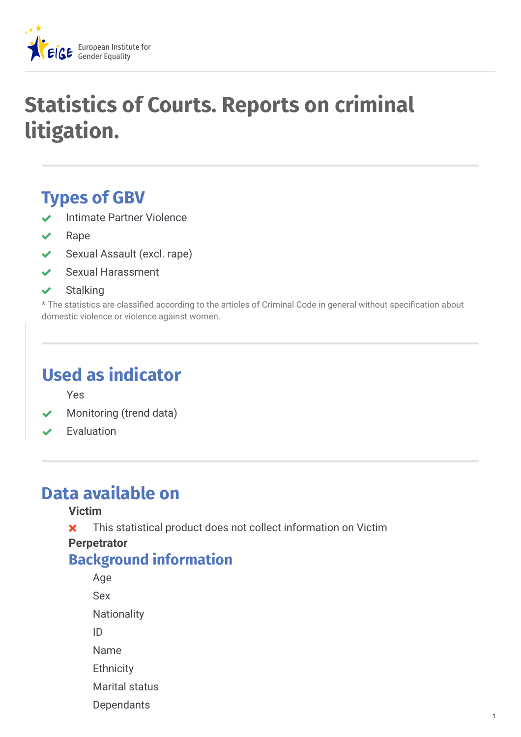

# **Statistics of Courts. Reports on criminal litigation.**

## **Types of GBV**

- Intimate Partner Violence
- Rape
- ◆ Sexual Assault (excl. rape)
- Sexual Harassment
- $\checkmark$  Stalking

\* The statistics are classified according to the articles of Criminal Code in general without specification about domestic violence or violence against women.

## **Used as indicator**

Yes

- Monitoring (trend data)
- Evaluation

## **Data available on**

#### **Victim**

**x** This statistical product does not collect information on Victim

1

#### **Perpetrator**

### **Background information**

Age Sex **Nationality** ID Name **Ethnicity** Marital status **Dependants**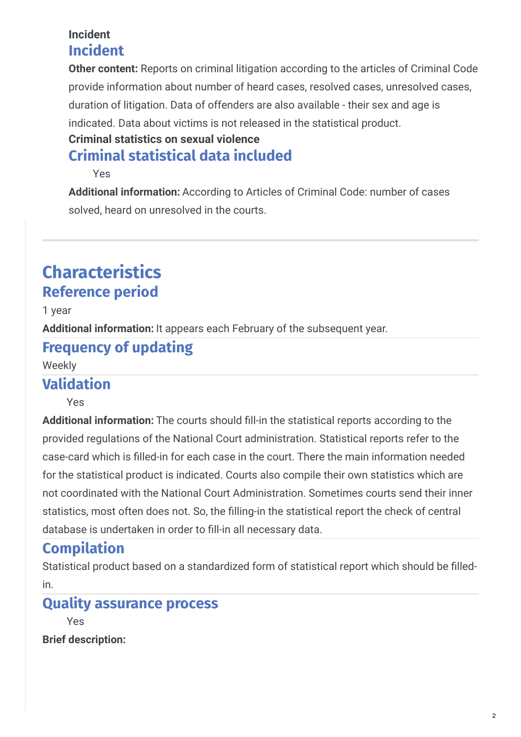#### **Incident Incident**

**Other content:** Reports on criminal litigation according to the articles of Criminal Code provide information about number of heard cases, resolved cases, unresolved cases, duration of litigation. Data of offenders are also available - their sex and age is indicated. Data about victims is not released in the statistical product.

#### **Criminal statistics on sexual violence**

### **Criminal statistical data included**

Yes

Additional information: According to Articles of Criminal Code: number of cases solved, heard on unresolved in the courts.

## **Characteristics Reference period**

1 year

**Additional information:** It appears each February of the subsequent year.

### **Frequency of updating**

Weekly

### **Validation**

Yes

Additional information: The courts should fill-in the statistical reports according to the provided regulations of the National Court administration. Statistical reports refer to the case-card which is lled-in for each case in the court. There the main information needed for the statistical product is indicated. Courts also compile their own statistics which are not coordinated with the National Court Administration. Sometimes courts send their inner statistics, most often does not. So, the filling-in the statistical report the check of central database is undertaken in order to fill-in all necessary data.

## **Compilation**

Statistical product based on a standardized form of statistical report which should be filledin.

### **Quality assurance process**

Yes

**Brief description:**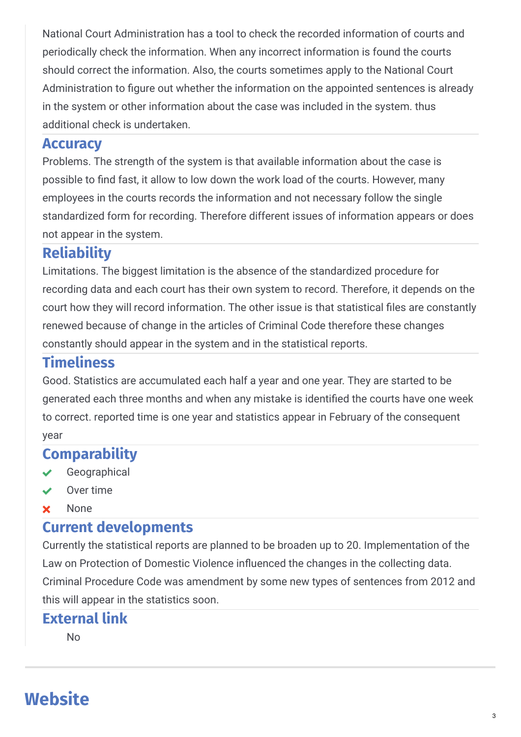National Court Administration has a tool to check the recorded information of courts and periodically check the information. When any incorrect information is found the courts should correct the information. Also, the courts sometimes apply to the National Court Administration to figure out whether the information on the appointed sentences is already in the system or other information about the case was included in the system. thus additional check is undertaken.

#### **Accuracy**

Problems. The strength of the system is that available information about the case is possible to find fast, it allow to low down the work load of the courts. However, many employees in the courts records the information and not necessary follow the single standardized form for recording. Therefore different issues of information appears or does not appear in the system.

#### **Reliability**

Limitations. The biggest limitation is the absence of the standardized procedure for recording data and each court has their own system to record. Therefore, it depends on the court how they will record information. The other issue is that statistical files are constantly renewed because of change in the articles of Criminal Code therefore these changes constantly should appear in the system and in the statistical reports.

#### **Timeliness**

Good. Statistics are accumulated each half a year and one year. They are started to be generated each three months and when any mistake is identi
ed the courts have one week to correct. reported time is one year and statistics appear in February of the consequent year

#### **Comparability**

- Geographical
- Over time
- **x** None

#### **Current developments**

Currently the statistical reports are planned to be broaden up to 20. Implementation of the Law on Protection of Domestic Violence influenced the changes in the collecting data. Criminal Procedure Code was amendment by some new types of sentences from 2012 and this will appear in the statistics soon.

#### **External link**

No

## **Website**